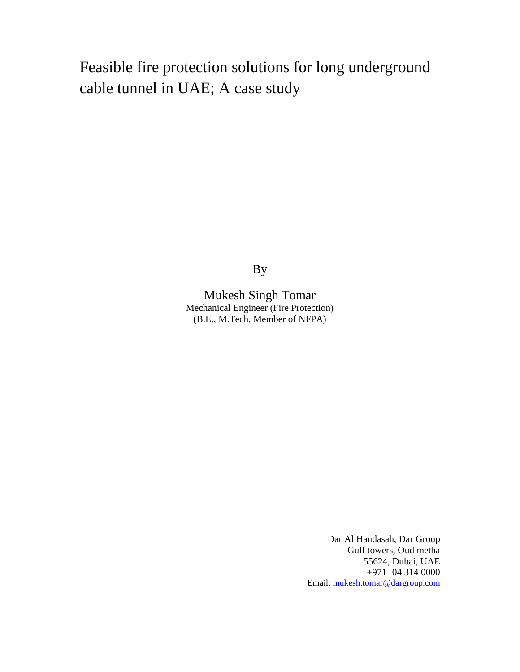# Feasible fire protection solutions for long underground cable tunnel in UAE; A case study

By

Mukesh Singh Tomar Mechanical Engineer (Fire Protection) (B.E., M.Tech, Member of NFPA)

> Dar Al Handasah, Dar Group Gulf towers, Oud metha 55624, Dubai, UAE +971- 04 314 0000 Email: mukesh.tomar@dargroup.com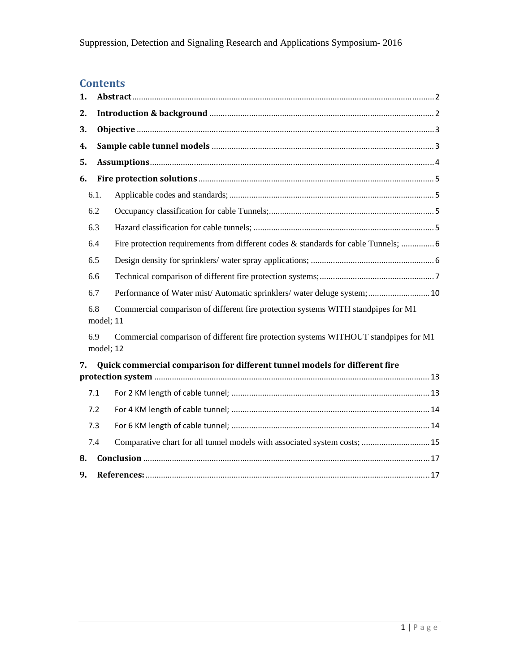## **Contents**

| 1. |                  |                                                                                      |  |  |  |  |
|----|------------------|--------------------------------------------------------------------------------------|--|--|--|--|
| 2. |                  |                                                                                      |  |  |  |  |
| 3. |                  |                                                                                      |  |  |  |  |
| 4. |                  |                                                                                      |  |  |  |  |
| 5. |                  |                                                                                      |  |  |  |  |
| 6. |                  |                                                                                      |  |  |  |  |
|    | 6.1.             |                                                                                      |  |  |  |  |
|    | 6.2              |                                                                                      |  |  |  |  |
|    | 6.3              |                                                                                      |  |  |  |  |
|    | 6.4              | Fire protection requirements from different codes & standards for cable Tunnels;  6  |  |  |  |  |
|    | 6.5              |                                                                                      |  |  |  |  |
|    | 6.6              |                                                                                      |  |  |  |  |
|    | 6.7              | Performance of Water mist/ Automatic sprinklers/ water deluge system;  10            |  |  |  |  |
|    | 6.8<br>model; 11 | Commercial comparison of different fire protection systems WITH standpipes for M1    |  |  |  |  |
|    | 6.9<br>model; 12 | Commercial comparison of different fire protection systems WITHOUT standpipes for M1 |  |  |  |  |
| 7. |                  | Quick commercial comparison for different tunnel models for different fire           |  |  |  |  |
|    |                  |                                                                                      |  |  |  |  |
|    | 7.1              |                                                                                      |  |  |  |  |
|    | 7.2              |                                                                                      |  |  |  |  |
|    | 7.3              |                                                                                      |  |  |  |  |
|    | 7.4              | Comparative chart for all tunnel models with associated system costs;  15            |  |  |  |  |
| 8. |                  |                                                                                      |  |  |  |  |
| 9. |                  |                                                                                      |  |  |  |  |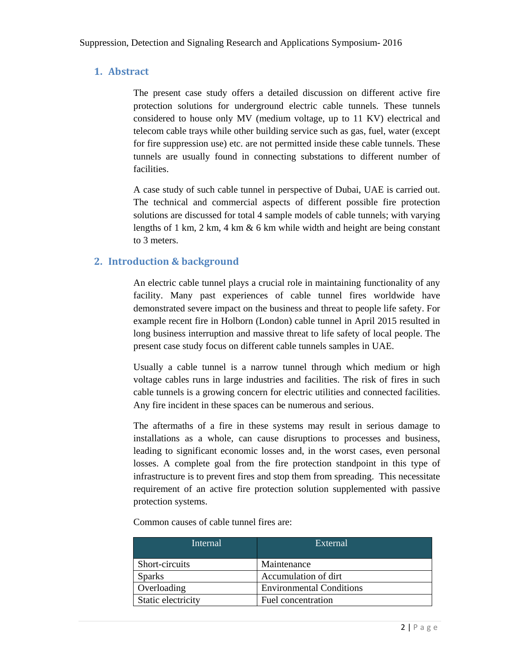### **1. Abstract**

The present case study offers a detailed discussion on different active fire protection solutions for underground electric cable tunnels. These tunnels considered to house only MV (medium voltage, up to 11 KV) electrical and telecom cable trays while other building service such as gas, fuel, water (except for fire suppression use) etc. are not permitted inside these cable tunnels. These tunnels are usually found in connecting substations to different number of facilities.

A case study of such cable tunnel in perspective of Dubai, UAE is carried out. The technical and commercial aspects of different possible fire protection solutions are discussed for total 4 sample models of cable tunnels; with varying lengths of 1 km, 2 km, 4 km & 6 km while width and height are being constant to 3 meters.

### **2. Introduction** & **background**

An electric cable tunnel plays a crucial role in maintaining functionality of any facility. Many past experiences of cable tunnel fires worldwide have demonstrated severe impact on the business and threat to people life safety. For example recent fire in Holborn (London) cable tunnel in April 2015 resulted in long business interruption and massive threat to life safety of local people. The present case study focus on different cable tunnels samples in UAE.

Usually a cable tunnel is a narrow tunnel through which medium or high voltage cables runs in large industries and facilities. The risk of fires in such cable tunnels is a growing concern for electric utilities and connected facilities. Any fire incident in these spaces can be numerous and serious.

The aftermaths of a fire in these systems may result in serious damage to installations as a whole, can cause disruptions to processes and business, leading to significant economic losses and, in the worst cases, even personal losses. A complete goal from the fire protection standpoint in this type of infrastructure is to prevent fires and stop them from spreading. This necessitate requirement of an active fire protection solution supplemented with passive protection systems.

Common causes of cable tunnel fires are:

| Internal           | External                        |
|--------------------|---------------------------------|
| Short-circuits     | Maintenance                     |
| <b>Sparks</b>      | Accumulation of dirt            |
| Overloading        | <b>Environmental Conditions</b> |
| Static electricity | Fuel concentration              |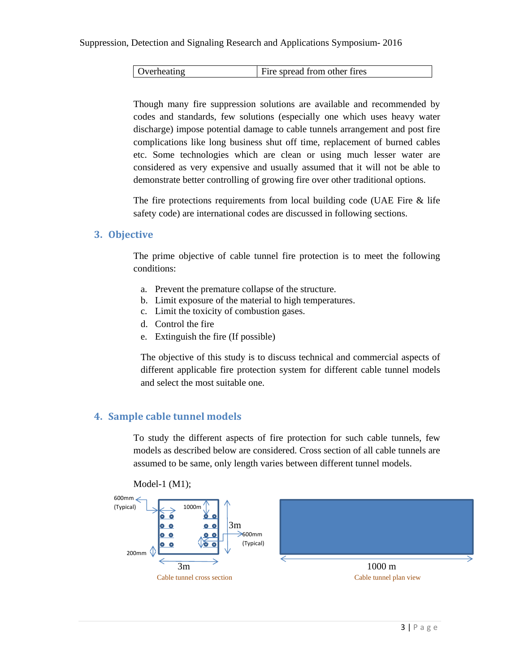| Overheating | Fire spread from other fires |
|-------------|------------------------------|
|-------------|------------------------------|

Though many fire suppression solutions are available and recommended by codes and standards, few solutions (especially one which uses heavy water discharge) impose potential damage to cable tunnels arrangement and post fire complications like long business shut off time, replacement of burned cables etc. Some technologies which are clean or using much lesser water are considered as very expensive and usually assumed that it will not be able to demonstrate better controlling of growing fire over other traditional options.

The fire protections requirements from local building code (UAE Fire & life safety code) are international codes are discussed in following sections.

#### **3. Objective**

The prime objective of cable tunnel fire protection is to meet the following conditions:

- a. Prevent the premature collapse of the structure.
- b. Limit exposure of the material to high temperatures.
- c. Limit the toxicity of combustion gases.
- d. Control the fire
- e. Extinguish the fire (If possible)

The objective of this study is to discuss technical and commercial aspects of different applicable fire protection system for different cable tunnel models and select the most suitable one.

### **4. Sample cable tunnel models**

To study the different aspects of fire protection for such cable tunnels, few models as described below are considered. Cross section of all cable tunnels are assumed to be same, only length varies between different tunnel models.



Model-1 (M1);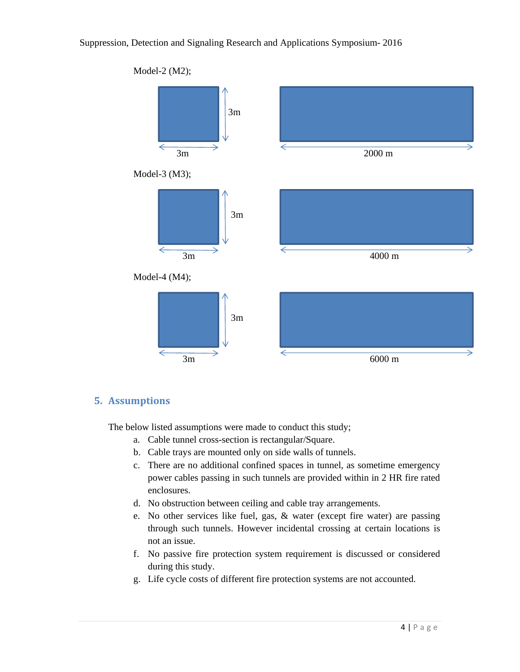

### **5. Assumptions**

The below listed assumptions were made to conduct this study;

- a. Cable tunnel cross-section is rectangular/Square.
- b. Cable trays are mounted only on side walls of tunnels.
- c. There are no additional confined spaces in tunnel, as sometime emergency power cables passing in such tunnels are provided within in 2 HR fire rated enclosures.
- d. No obstruction between ceiling and cable tray arrangements.
- e. No other services like fuel, gas, & water (except fire water) are passing through such tunnels. However incidental crossing at certain locations is not an issue.
- f. No passive fire protection system requirement is discussed or considered during this study.
- g. Life cycle costs of different fire protection systems are not accounted.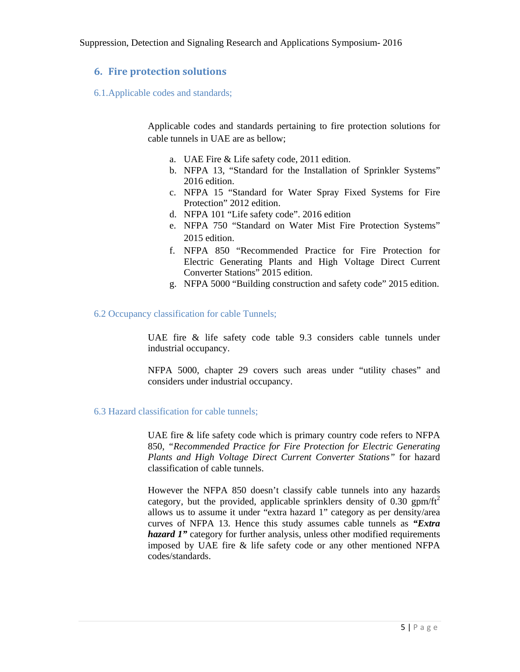### **6. Fire protection solutions**

6.1.Applicable codes and standards;

Applicable codes and standards pertaining to fire protection solutions for cable tunnels in UAE are as bellow;

- a. UAE Fire & Life safety code, 2011 edition.
- b. NFPA 13, "Standard for the Installation of Sprinkler Systems" 2016 edition.
- c. NFPA 15 "Standard for Water Spray Fixed Systems for Fire Protection" 2012 edition.
- d. NFPA 101 "Life safety code". 2016 edition
- e. NFPA 750 "Standard on Water Mist Fire Protection Systems" 2015 edition.
- f. NFPA 850 "Recommended Practice for Fire Protection for Electric Generating Plants and High Voltage Direct Current Converter Stations" 2015 edition.
- g. NFPA 5000 "Building construction and safety code" 2015 edition.

#### 6.2 Occupancy classification for cable Tunnels;

UAE fire & life safety code table 9.3 considers cable tunnels under industrial occupancy.

NFPA 5000, chapter 29 covers such areas under "utility chases" and considers under industrial occupancy.

6.3 Hazard classification for cable tunnels;

UAE fire & life safety code which is primary country code refers to NFPA 850, *"Recommended Practice for Fire Protection for Electric Generating Plants and High Voltage Direct Current Converter Stations"* for hazard classification of cable tunnels.

However the NFPA 850 doesn't classify cable tunnels into any hazards category, but the provided, applicable sprinklers density of  $0.30$  gpm/ft<sup>2</sup> allows us to assume it under "extra hazard 1" category as per density/area curves of NFPA 13. Hence this study assumes cable tunnels as *"Extra hazard 1"* category for further analysis, unless other modified requirements imposed by UAE fire & life safety code or any other mentioned NFPA codes/standards.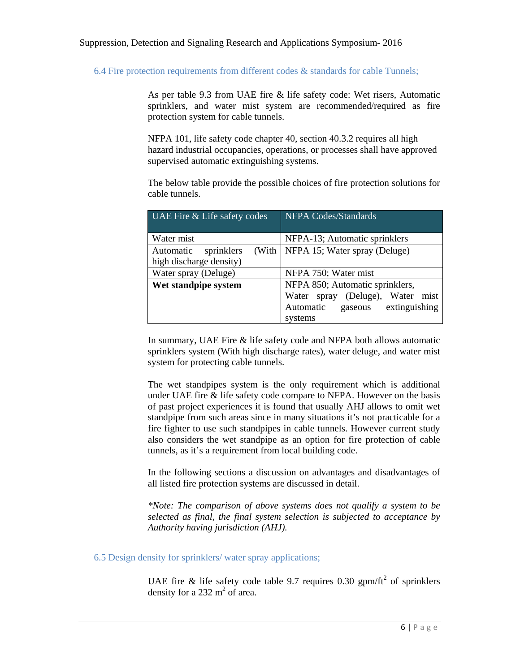6.4 Fire protection requirements from different codes  $\&$  standards for cable Tunnels;

As per table 9.3 from UAE fire & life safety code: Wet risers, Automatic sprinklers, and water mist system are recommended/required as fire protection system for cable tunnels.

NFPA 101, life safety code chapter 40, section 40.3.2 requires all high hazard industrial occupancies, operations, or processes shall have approved supervised automatic extinguishing systems.

The below table provide the possible choices of fire protection solutions for cable tunnels.

| UAE Fire & Life safety codes     | <b>NFPA Codes/Standards</b>            |  |  |
|----------------------------------|----------------------------------------|--|--|
|                                  |                                        |  |  |
| Water mist                       | NFPA-13; Automatic sprinklers          |  |  |
| (With<br>Automatic<br>sprinklers | NFPA 15; Water spray (Deluge)          |  |  |
| high discharge density)          |                                        |  |  |
| Water spray (Deluge)             | NFPA 750; Water mist                   |  |  |
| Wet standpipe system             | NFPA 850; Automatic sprinklers,        |  |  |
|                                  | (Deluge), Water<br>mist<br>Water spray |  |  |
|                                  | extinguishing<br>Automatic<br>gaseous  |  |  |
|                                  | systems                                |  |  |

In summary, UAE Fire & life safety code and NFPA both allows automatic sprinklers system (With high discharge rates), water deluge, and water mist system for protecting cable tunnels.

The wet standpipes system is the only requirement which is additional under UAE fire & life safety code compare to NFPA. However on the basis of past project experiences it is found that usually AHJ allows to omit wet standpipe from such areas since in many situations it's not practicable for a fire fighter to use such standpipes in cable tunnels. However current study also considers the wet standpipe as an option for fire protection of cable tunnels, as it's a requirement from local building code.

In the following sections a discussion on advantages and disadvantages of all listed fire protection systems are discussed in detail.

*\*Note: The comparison of above systems does not qualify a system to be selected as final, the final system selection is subjected to acceptance by Authority having jurisdiction (AHJ).* 

#### 6.5 Design density for sprinklers/ water spray applications;

UAE fire & life safety code table 9.7 requires 0.30 gpm/ft<sup>2</sup> of sprinklers density for a 232  $m^2$  of area.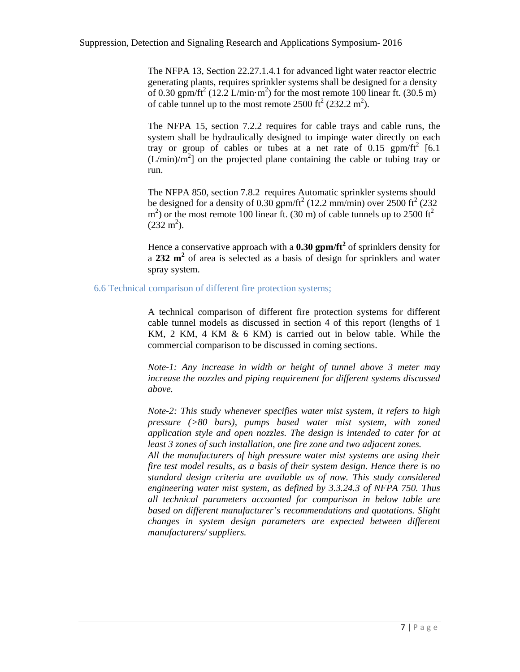The NFPA 13, Section 22.27.1.4.1 for advanced light water reactor electric generating plants, requires sprinkler systems shall be designed for a density of 0.30 gpm/ft<sup>2</sup> (12.2 L/min·m<sup>2</sup>) for the most remote 100 linear ft. (30.5 m) of cable tunnel up to the most remote  $2500 \text{ ft}^2 (232.2 \text{ m}^2)$ .

The NFPA 15, section 7.2.2 requires for cable trays and cable runs, the system shall be hydraulically designed to impinge water directly on each tray or group of cables or tubes at a net rate of  $0.15$  gpm/ft<sup>2</sup> [6.1]  $(L/min)/m<sup>2</sup>$ ] on the projected plane containing the cable or tubing tray or run.

The NFPA 850, section 7.8.2 requires Automatic sprinkler systems should be designed for a density of  $0.30$  gpm/ft<sup>2</sup> (12.2 mm/min) over 2500 ft<sup>2</sup> (232  $(m<sup>2</sup>)$  or the most remote 100 linear ft. (30 m) of cable tunnels up to 2500 ft<sup>2</sup>  $(232 \text{ m}^2)$ .

Hence a conservative approach with a **0.30 gpm/ft<sup>2</sup>** of sprinklers density for a **232 m<sup>2</sup>** of area is selected as a basis of design for sprinklers and water spray system.

#### 6.6 Technical comparison of different fire protection systems;

A technical comparison of different fire protection systems for different cable tunnel models as discussed in section 4 of this report (lengths of 1 KM, 2 KM, 4 KM & 6 KM) is carried out in below table. While the commercial comparison to be discussed in coming sections.

*Note-1: Any increase in width or height of tunnel above 3 meter may increase the nozzles and piping requirement for different systems discussed above.*

*Note-2: This study whenever specifies water mist system, it refers to high pressure (>80 bars), pumps based water mist system, with zoned application style and open nozzles. The design is intended to cater for at least 3 zones of such installation, one fire zone and two adjacent zones.* 

*All the manufacturers of high pressure water mist systems are using their fire test model results, as a basis of their system design. Hence there is no standard design criteria are available as of now. This study considered engineering water mist system, as defined by 3.3.24.3 of NFPA 750. Thus all technical parameters accounted for comparison in below table are based on different manufacturer's recommendations and quotations. Slight changes in system design parameters are expected between different manufacturers/ suppliers.*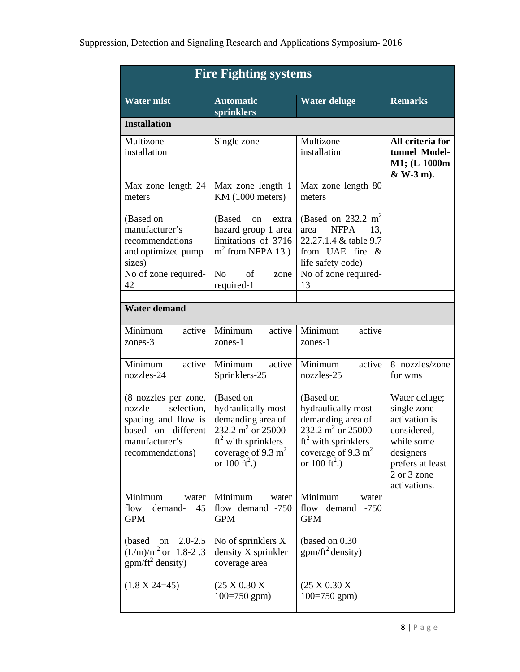|                                                                                                                                    | <b>Fire Fighting systems</b>                                                                                                                                       |                                                                                                                                                                     |                                                                                                                                            |
|------------------------------------------------------------------------------------------------------------------------------------|--------------------------------------------------------------------------------------------------------------------------------------------------------------------|---------------------------------------------------------------------------------------------------------------------------------------------------------------------|--------------------------------------------------------------------------------------------------------------------------------------------|
| <b>Water mist</b>                                                                                                                  | <b>Automatic</b><br>sprinklers                                                                                                                                     | <b>Water deluge</b>                                                                                                                                                 | <b>Remarks</b>                                                                                                                             |
| <b>Installation</b>                                                                                                                |                                                                                                                                                                    |                                                                                                                                                                     |                                                                                                                                            |
| Multizone<br>installation                                                                                                          | Single zone                                                                                                                                                        | Multizone<br>installation                                                                                                                                           | All criteria for<br>tunnel Model-<br>M1; (L-1000m<br>& W-3 m).                                                                             |
| Max zone length 24<br>meters                                                                                                       | Max zone length 1<br>KM (1000 meters)                                                                                                                              | Max zone length 80<br>meters                                                                                                                                        |                                                                                                                                            |
| (Based on<br>manufacturer's<br>recommendations<br>and optimized pump<br>sizes)<br>No of zone required-                             | (Based<br>on<br>extra<br>hazard group 1 area<br>limitations of 3716<br>$m2$ from NFPA 13.)<br>N <sub>o</sub><br>of<br>zone                                         | (Based on 232.2 m <sup>2</sup><br><b>NFPA</b><br>area<br>13.<br>22.27.1.4 & table 9.7<br>from UAE fire &<br>life safety code)<br>No of zone required-               |                                                                                                                                            |
| 42                                                                                                                                 | required-1                                                                                                                                                         | 13                                                                                                                                                                  |                                                                                                                                            |
| <b>Water demand</b>                                                                                                                |                                                                                                                                                                    |                                                                                                                                                                     |                                                                                                                                            |
| Minimum<br>active<br>zones-3                                                                                                       | Minimum<br>active<br>zones-1                                                                                                                                       | Minimum<br>active<br>zones-1                                                                                                                                        |                                                                                                                                            |
| Minimum<br>active<br>nozzles-24                                                                                                    | Minimum<br>active<br>Sprinklers-25                                                                                                                                 | Minimum<br>active<br>nozzles-25                                                                                                                                     | 8 nozzles/zone<br>for wms                                                                                                                  |
| (8 nozzles per zone,<br>selection,<br>nozzle<br>spacing and flow is<br>different<br>based on<br>manufacturer's<br>recommendations) | (Based on<br>hydraulically most<br>demanding area of<br>232.2 m <sup>2</sup> or 25000<br>$ft2$ with sprinklers<br>coverage of 9.3 $m2$<br>or $100 \text{ ft}^2$ .) | (Based on<br>hydraulically most<br>demanding area of<br>232.2 m <sup>2</sup> or 25000<br>$ft2$ with sprinklers<br>coverage of 9.3 $m2$<br>or 100 ft <sup>2</sup> .) | Water deluge;<br>single zone<br>activation is<br>considered,<br>while some<br>designers<br>prefers at least<br>2 or 3 zone<br>activations. |
| Minimum<br>water<br>flow<br>demand-<br>45<br><b>GPM</b>                                                                            | Minimum<br>water<br>flow demand -750<br><b>GPM</b>                                                                                                                 | Minimum<br>water<br>flow<br>demand<br>$-750$<br><b>GPM</b>                                                                                                          |                                                                                                                                            |
| on 2.0-2.5<br>(based)<br>$(L/m)/m^2$ or 1.8-2.3<br>$gpm/ft^2$ density)                                                             | No of sprinklers X<br>density X sprinkler<br>coverage area                                                                                                         | (based on 0.30)<br>$gpm/ft^2$ density)                                                                                                                              |                                                                                                                                            |
| $(1.8 \text{ X } 24=45)$                                                                                                           | (25 X 0.30 X)<br>$100=750$ gpm)                                                                                                                                    | (25 X 0.30 X)<br>$100=750$ gpm)                                                                                                                                     |                                                                                                                                            |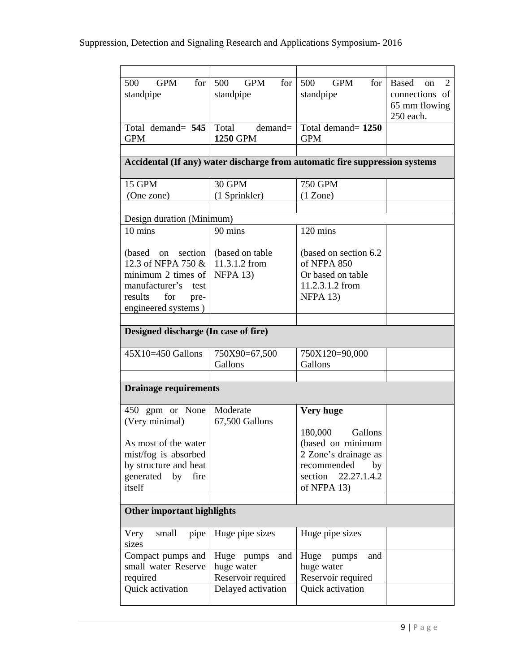| 500<br>GPM<br>for                    | <b>GPM</b><br>500<br>for | 500<br><b>GPM</b><br>for                                                    | Based<br>2<br>on |  |  |  |
|--------------------------------------|--------------------------|-----------------------------------------------------------------------------|------------------|--|--|--|
| standpipe                            | standpipe                | standpipe                                                                   | connections of   |  |  |  |
|                                      |                          |                                                                             | 65 mm flowing    |  |  |  |
|                                      |                          |                                                                             | 250 each.        |  |  |  |
| Total demand= 545                    | Total<br>demand=         | Total demand= 1250                                                          |                  |  |  |  |
| <b>GPM</b>                           | <b>1250 GPM</b>          | <b>GPM</b>                                                                  |                  |  |  |  |
|                                      |                          |                                                                             |                  |  |  |  |
|                                      |                          | Accidental (If any) water discharge from automatic fire suppression systems |                  |  |  |  |
|                                      |                          |                                                                             |                  |  |  |  |
| 15 GPM                               | 30 GPM                   | <b>750 GPM</b>                                                              |                  |  |  |  |
| (One zone)                           | (1 Sprinkler)            | (1 Zone)                                                                    |                  |  |  |  |
|                                      |                          |                                                                             |                  |  |  |  |
| Design duration (Minimum)            |                          |                                                                             |                  |  |  |  |
| 10 mins                              | 90 mins                  | 120 mins                                                                    |                  |  |  |  |
|                                      |                          |                                                                             |                  |  |  |  |
| (based on section                    | (based on table          | (based on section 6.2)                                                      |                  |  |  |  |
| 12.3 of NFPA 750 &                   | 11.3.1.2 from            | of NFPA 850                                                                 |                  |  |  |  |
| minimum 2 times of                   | NFPA 13)                 | Or based on table                                                           |                  |  |  |  |
| manufacturer's test                  |                          | 11.2.3.1.2 from                                                             |                  |  |  |  |
| for<br>results<br>pre-               |                          | $NFPA$ 13)                                                                  |                  |  |  |  |
| engineered systems)                  |                          |                                                                             |                  |  |  |  |
|                                      |                          |                                                                             |                  |  |  |  |
| Designed discharge (In case of fire) |                          |                                                                             |                  |  |  |  |
| $45X10=450$ Gallons                  | 750X90=67,500            | 750X120=90,000                                                              |                  |  |  |  |
|                                      | Gallons                  | Gallons                                                                     |                  |  |  |  |
|                                      |                          |                                                                             |                  |  |  |  |
| <b>Drainage requirements</b>         |                          |                                                                             |                  |  |  |  |
|                                      |                          |                                                                             |                  |  |  |  |
| 450 gpm or None                      | Moderate                 | <b>Very huge</b>                                                            |                  |  |  |  |
| (Very minimal)                       | 67,500 Gallons           |                                                                             |                  |  |  |  |
|                                      |                          | 180,000<br>Gallons                                                          |                  |  |  |  |
| As most of the water                 |                          | (based on minimum                                                           |                  |  |  |  |
| mist/fog is absorbed                 |                          | 2 Zone's drainage as                                                        |                  |  |  |  |
| by structure and heat                |                          | recommended<br>by                                                           |                  |  |  |  |
| generated by<br>fire                 |                          | section<br>22.27.1.4.2                                                      |                  |  |  |  |
| itself                               |                          | of NFPA 13)                                                                 |                  |  |  |  |
|                                      |                          |                                                                             |                  |  |  |  |
| Other important highlights           |                          |                                                                             |                  |  |  |  |
| small<br>pipe<br>Very                | Huge pipe sizes          | Huge pipe sizes                                                             |                  |  |  |  |
| sizes                                |                          |                                                                             |                  |  |  |  |
| Compact pumps and                    | Huge pumps<br>and        | Huge pumps<br>and                                                           |                  |  |  |  |
| small water Reserve                  | huge water               | huge water                                                                  |                  |  |  |  |
| required                             | Reservoir required       | Reservoir required                                                          |                  |  |  |  |
| Quick activation                     | Delayed activation       | Quick activation                                                            |                  |  |  |  |
|                                      |                          |                                                                             |                  |  |  |  |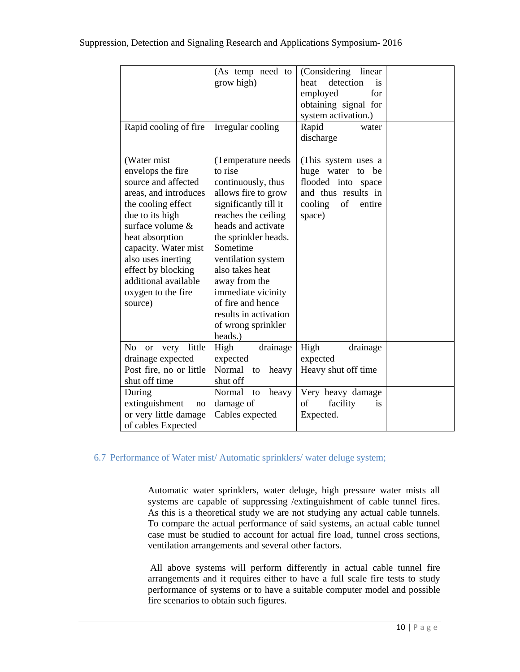| Rapid cooling of fire                                                                                                                                                                                                                                                                          | (As temp need to<br>grow high)<br>Irregular cooling                                                                                                                                                                                                                                                                                                 | (Considering<br>linear<br>detection<br>heat<br>is<br>employed<br>for<br>obtaining signal for<br>system activation.)<br>Rapid<br>water<br>discharge |  |
|------------------------------------------------------------------------------------------------------------------------------------------------------------------------------------------------------------------------------------------------------------------------------------------------|-----------------------------------------------------------------------------------------------------------------------------------------------------------------------------------------------------------------------------------------------------------------------------------------------------------------------------------------------------|----------------------------------------------------------------------------------------------------------------------------------------------------|--|
| (Water mist)<br>envelops the fire<br>source and affected<br>areas, and introduces<br>the cooling effect<br>due to its high<br>surface volume &<br>heat absorption<br>capacity. Water mist<br>also uses inerting<br>effect by blocking<br>additional available<br>oxygen to the fire<br>source) | (Temperature needs<br>to rise<br>continuously, thus<br>allows fire to grow<br>significantly till it<br>reaches the ceiling<br>heads and activate<br>the sprinkler heads.<br>Sometime<br>ventilation system<br>also takes heat<br>away from the<br>immediate vicinity<br>of fire and hence<br>results in activation<br>of wrong sprinkler<br>heads.) | (This system uses a<br>huge water to<br>be<br>flooded into space<br>and thus results in<br>cooling<br>of<br>entire<br>space)                       |  |
| little<br>N <sub>o</sub><br>very<br><b>or</b><br>drainage expected                                                                                                                                                                                                                             | High<br>drainage<br>expected                                                                                                                                                                                                                                                                                                                        | High<br>drainage<br>expected                                                                                                                       |  |
| Post fire, no or little<br>shut off time                                                                                                                                                                                                                                                       | Normal<br>heavy<br>to<br>shut off                                                                                                                                                                                                                                                                                                                   | Heavy shut off time                                                                                                                                |  |
| During<br>extinguishment<br>no<br>or very little damage<br>of cables Expected                                                                                                                                                                                                                  | Normal<br>heavy<br>to<br>damage of<br>Cables expected                                                                                                                                                                                                                                                                                               | Very heavy damage<br>facility<br>οf<br>is<br>Expected.                                                                                             |  |

### 6.7 Performance of Water mist/ Automatic sprinklers/ water deluge system;

Automatic water sprinklers, water deluge, high pressure water mists all systems are capable of suppressing /extinguishment of cable tunnel fires. As this is a theoretical study we are not studying any actual cable tunnels. To compare the actual performance of said systems, an actual cable tunnel case must be studied to account for actual fire load, tunnel cross sections, ventilation arrangements and several other factors.

 All above systems will perform differently in actual cable tunnel fire arrangements and it requires either to have a full scale fire tests to study performance of systems or to have a suitable computer model and possible fire scenarios to obtain such figures.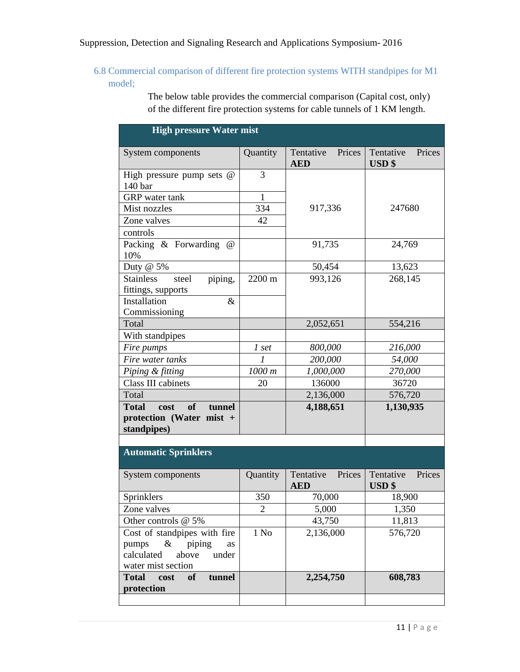6.8 Commercial comparison of different fire protection systems WITH standpipes for M1 model;

> The below table provides the commercial comparison (Capital cost, only) of the different fire protection systems for cable tunnels of 1 KM length.

| <b>High pressure Water mist</b>                                                                                     |                  |                                   |                                          |  |  |  |
|---------------------------------------------------------------------------------------------------------------------|------------------|-----------------------------------|------------------------------------------|--|--|--|
| System components                                                                                                   | Quantity         | Tentative<br>Prices<br><b>AED</b> | Tentative<br>Prices<br>$\textbf{USD}$ \$ |  |  |  |
| High pressure pump sets $@$<br>140 bar                                                                              | 3                |                                   |                                          |  |  |  |
| <b>GRP</b> water tank                                                                                               | $\mathbf{1}$     |                                   |                                          |  |  |  |
| Mist nozzles                                                                                                        | 334              | 917,336                           | 247680                                   |  |  |  |
| Zone valves                                                                                                         | 42               |                                   |                                          |  |  |  |
| controls                                                                                                            |                  |                                   |                                          |  |  |  |
| Packing & Forwarding<br>$\omega$<br>10%                                                                             |                  | 91,735                            | 24,769                                   |  |  |  |
| Duty $@5\%$                                                                                                         |                  | 50,454                            | 13,623                                   |  |  |  |
| <b>Stainless</b><br>piping,<br>steel<br>fittings, supports                                                          | 2200 m           | 993,126                           | 268,145                                  |  |  |  |
| Installation<br>$\&$<br>Commissioning                                                                               |                  |                                   |                                          |  |  |  |
| Total                                                                                                               |                  | 2,052,651                         | 554,216                                  |  |  |  |
| With standpipes                                                                                                     |                  |                                   |                                          |  |  |  |
| Fire pumps                                                                                                          | 1 set            | 800,000                           | 216,000                                  |  |  |  |
| Fire water tanks                                                                                                    | $\mathcal{I}$    | 200,000                           | 54,000                                   |  |  |  |
| Piping & fitting                                                                                                    | 1000 m           | 1,000,000                         | 270,000                                  |  |  |  |
| Class III cabinets                                                                                                  | 20               | 136000                            | 36720                                    |  |  |  |
| Total                                                                                                               |                  | 2,136,000                         | 576,720                                  |  |  |  |
| <b>Total</b><br>cost<br>of<br>tunnel<br>protection (Water mist +<br>standpipes)                                     |                  | 4,188,651                         | 1,130,935                                |  |  |  |
|                                                                                                                     |                  |                                   |                                          |  |  |  |
| <b>Automatic Sprinklers</b>                                                                                         |                  |                                   |                                          |  |  |  |
| System components                                                                                                   | Quantity         | Tentative<br>Prices<br><b>AED</b> | Tentative<br>Prices<br><b>USD</b> \$     |  |  |  |
| Sprinklers                                                                                                          | 350              | 70,000                            | 18,900                                   |  |  |  |
| Zone valves                                                                                                         | 2                | 5,000                             | 1,350                                    |  |  |  |
| Other controls @ 5%                                                                                                 |                  | 43,750                            | 11,813                                   |  |  |  |
| Cost of standpipes with fire<br>pumps<br>$\&$<br>piping<br>as<br>calculated<br>above<br>under<br>water mist section | 1 N <sub>0</sub> | 2,136,000                         | 576,720                                  |  |  |  |
| <b>Total</b><br><b>of</b><br>cost<br>tunnel<br>protection                                                           |                  | 2,254,750                         | 608,783                                  |  |  |  |
|                                                                                                                     |                  |                                   |                                          |  |  |  |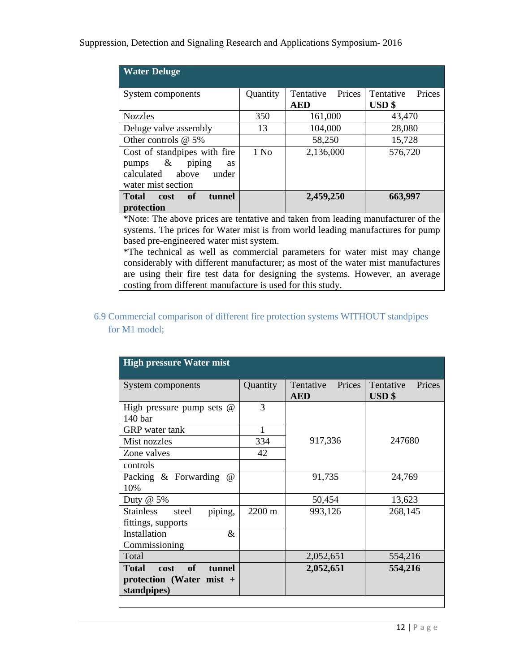| <b>Water Deluge</b>                                                                                                      |                  |                                   |                                      |  |
|--------------------------------------------------------------------------------------------------------------------------|------------------|-----------------------------------|--------------------------------------|--|
| System components                                                                                                        | Quantity         | Prices<br>Tentative<br><b>AED</b> | Tentative<br>Prices<br><b>USD</b> \$ |  |
| <b>Nozzles</b>                                                                                                           | 350              | 161,000                           | 43,470                               |  |
| Deluge valve assembly                                                                                                    | 13               | 104,000                           | 28,080                               |  |
| Other controls @ 5%                                                                                                      |                  | 58,250                            | 15,728                               |  |
| Cost of standpipes with fire<br>$-\&$<br>piping<br>pumps<br><b>as</b><br>calculated above<br>under<br>water mist section | 1 N <sub>0</sub> | 2,136,000                         | 576,720                              |  |
| <b>Total</b><br>of<br>tunnel<br><b>cost</b><br>protection                                                                |                  | 2,459,250                         | 663,997                              |  |

\*Note: The above prices are tentative and taken from leading manufacturer of the systems. The prices for Water mist is from world leading manufactures for pump based pre-engineered water mist system.

\*The technical as well as commercial parameters for water mist may change considerably with different manufacturer; as most of the water mist manufactures are using their fire test data for designing the systems. However, an average costing from different manufacture is used for this study.

6.9 Commercial comparison of different fire protection systems WITHOUT standpipes for M1 model;

| <b>High pressure Water mist</b>                                                        |          |                                   |                                      |  |  |
|----------------------------------------------------------------------------------------|----------|-----------------------------------|--------------------------------------|--|--|
| System components                                                                      | Quantity | Tentative<br>Prices<br><b>AED</b> | Tentative<br>Prices<br><b>USD</b> \$ |  |  |
| High pressure pump sets $@$<br>140 <sub>bar</sub>                                      | 3        |                                   |                                      |  |  |
| <b>GRP</b> water tank                                                                  | 1        |                                   |                                      |  |  |
| Mist nozzles                                                                           | 334      | 917,336                           | 247680                               |  |  |
| Zone valves                                                                            | 42       |                                   |                                      |  |  |
| controls                                                                               |          |                                   |                                      |  |  |
| Packing & Forwarding<br>$\omega$<br>10%                                                |          | 91,735                            | 24,769                               |  |  |
| Duty $@$ 5%                                                                            |          | 50,454                            | 13,623                               |  |  |
| <b>Stainless</b><br>piping,<br>steel<br>fittings, supports                             | 2200 m   | 993,126                           | 268,145                              |  |  |
| Installation<br>&<br>Commissioning                                                     |          |                                   |                                      |  |  |
| Total                                                                                  |          | 2,052,651                         | 554,216                              |  |  |
| <b>Total</b><br><b>of</b><br>tunnel<br>cost<br>protection (Water mist +<br>standpipes) |          | 2,052,651                         | 554,216                              |  |  |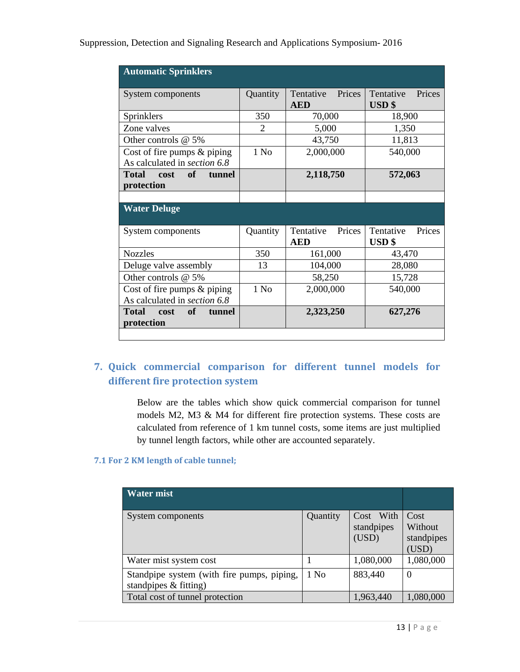| <b>Automatic Sprinklers</b>                 |                |                                   |                                        |  |
|---------------------------------------------|----------------|-----------------------------------|----------------------------------------|--|
| System components                           | Quantity       | Tentative<br>Prices<br><b>AED</b> | Tentative<br>Prices<br>$\textbf{USD}\$ |  |
| Sprinklers                                  | 350            | 70,000                            | 18,900                                 |  |
| Zone valves                                 | $\overline{2}$ | 5,000                             | 1,350                                  |  |
| Other controls @ 5%                         |                | 43,750                            | 11,813                                 |  |
| Cost of fire pumps $&$ piping               | $1$ No         | 2,000,000                         | 540,000                                |  |
| As calculated in section 6.8                |                |                                   |                                        |  |
| $\bullet$ of<br>Total cost<br><b>tunnel</b> |                | 2,118,750                         | 572,063                                |  |
| protection                                  |                |                                   |                                        |  |
|                                             |                |                                   |                                        |  |
| <b>Water Deluge</b>                         |                |                                   |                                        |  |
| System components                           | Quantity       | Prices<br>Tentative               | Tentative<br>Prices                    |  |
|                                             |                | <b>AED</b>                        | <b>USD</b> \$                          |  |
| <b>Nozzles</b>                              | 350            | 161,000                           | 43,470                                 |  |
| Deluge valve assembly                       | 13             | 104,000                           | 28,080                                 |  |
| Other controls @ 5%                         |                | 58,250                            | 15,728                                 |  |
| Cost of fire pumps $&$ piping               | $1$ No         | 2,000,000                         | 540,000                                |  |
| As calculated in <i>section</i> 6.8         |                |                                   |                                        |  |
| Total cost<br><b>of</b><br>tunnel           |                | 2,323,250                         | 627,276                                |  |
| protection                                  |                |                                   |                                        |  |
|                                             |                |                                   |                                        |  |

### **7. Quick commercial comparison for different tunnel models for different fire protection system**

Below are the tables which show quick commercial comparison for tunnel models M2, M3 & M4 for different fire protection systems. These costs are calculated from reference of 1 km tunnel costs, some items are just multiplied by tunnel length factors, while other are accounted separately.

### **7.1 For 2 KM length of cable tunnel;**

| <b>Water mist</b>                                                      |          |                                  |                                        |
|------------------------------------------------------------------------|----------|----------------------------------|----------------------------------------|
| System components                                                      | Quantity | Cost With<br>standpipes<br>(USD) | Cost<br>Without<br>standpipes<br>(USD) |
| Water mist system cost                                                 |          | 1,080,000                        | 1,080,000                              |
| Standpipe system (with fire pumps, piping,<br>standpipes $\&$ fitting) | $1$ No   | 883,440                          | $\theta$                               |
| Total cost of tunnel protection                                        |          | 1,963,440                        | 1,080,000                              |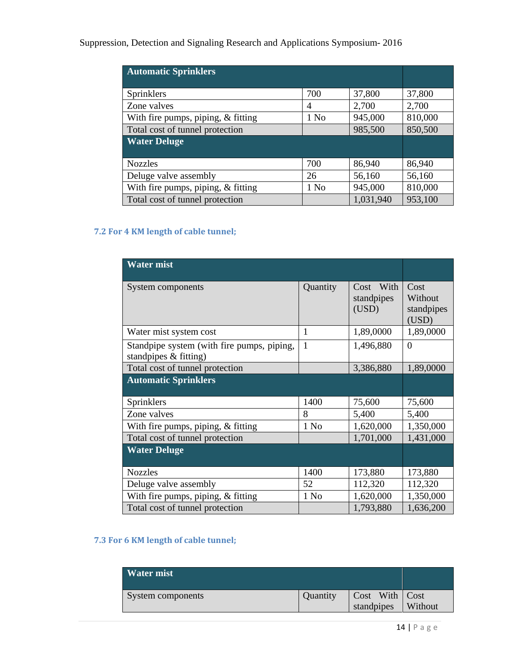Suppression, Detection and Signaling Research and Applications Symposium- 2016

| <b>Automatic Sprinklers</b>        |                  |           |         |
|------------------------------------|------------------|-----------|---------|
|                                    | 700              | 37,800    | 37,800  |
| Sprinklers                         |                  |           |         |
| Zone valves                        | 4                | 2,700     | 2,700   |
| With fire pumps, piping, & fitting | 1 N <sub>0</sub> | 945,000   | 810,000 |
| Total cost of tunnel protection    |                  | 985,500   | 850,500 |
| <b>Water Deluge</b>                |                  |           |         |
|                                    |                  |           |         |
| <b>Nozzles</b>                     | 700              | 86,940    | 86,940  |
| Deluge valve assembly              | 26               | 56,160    | 56,160  |
| With fire pumps, piping, & fitting | 1 No             | 945,000   | 810,000 |
| Total cost of tunnel protection    |                  | 1,031,940 | 953,100 |

### **7.2 For 4 KM length of cable tunnel;**

| <b>Water mist</b>                                                     |          |                                  |                                        |
|-----------------------------------------------------------------------|----------|----------------------------------|----------------------------------------|
|                                                                       |          |                                  |                                        |
| System components                                                     | Quantity | Cost With<br>standpipes<br>(USD) | Cost<br>Without<br>standpipes<br>(USD) |
| Water mist system cost                                                | 1        | 1,89,0000                        | 1,89,0000                              |
| Standpipe system (with fire pumps, piping,<br>standpipes $&$ fitting) | 1        | 1,496,880                        | $\Omega$                               |
| Total cost of tunnel protection                                       |          | 3,386,880                        | 1,89,0000                              |
| <b>Automatic Sprinklers</b>                                           |          |                                  |                                        |
| Sprinklers                                                            | 1400     | 75,600                           | 75,600                                 |
| Zone valves                                                           | 8        | 5,400                            | 5,400                                  |
| With fire pumps, piping, & fitting                                    | 1 No     | 1,620,000                        | 1,350,000                              |
| Total cost of tunnel protection                                       |          | 1,701,000                        | 1,431,000                              |
| <b>Water Deluge</b>                                                   |          |                                  |                                        |
| <b>Nozzles</b>                                                        | 1400     | 173,880                          | 173,880                                |
| Deluge valve assembly                                                 | 52       | 112,320                          | 112,320                                |
| With fire pumps, piping, $&$ fitting                                  | 1 No     | 1,620,000                        | 1,350,000                              |
| Total cost of tunnel protection                                       |          | 1,793,880                        | 1,636,200                              |

### **7.3 For 6 KM length of cable tunnel;**

| <b>Water mist</b> |          |                                |         |
|-------------------|----------|--------------------------------|---------|
| System components | Quantity | Cost With   Cost<br>standpipes | Without |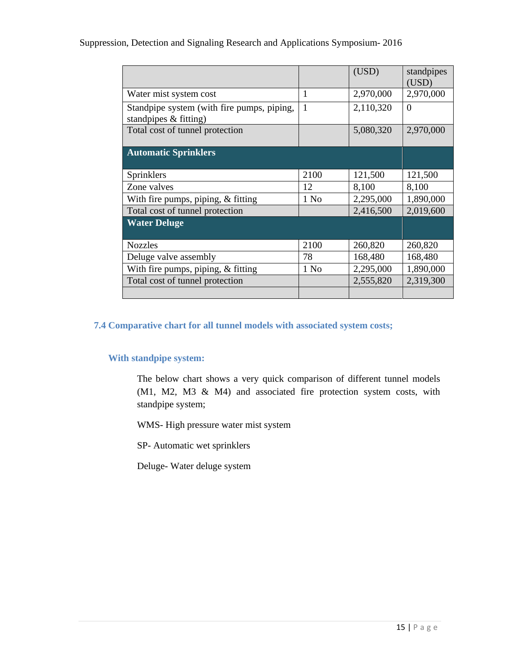### Suppression, Detection and Signaling Research and Applications Symposium- 2016

|                                                                     |        | (USD)     | standpipes<br>(USD) |
|---------------------------------------------------------------------|--------|-----------|---------------------|
| Water mist system cost                                              | 1      | 2,970,000 | 2,970,000           |
| Standpipe system (with fire pumps, piping,<br>standpipes & fitting) | 1      | 2,110,320 | $\overline{0}$      |
| Total cost of tunnel protection                                     |        | 5,080,320 | 2,970,000           |
| <b>Automatic Sprinklers</b>                                         |        |           |                     |
| Sprinklers                                                          | 2100   | 121,500   | 121,500             |
| Zone valves                                                         | 12     | 8,100     | 8,100               |
| With fire pumps, piping, & fitting                                  | 1 No   | 2,295,000 | 1,890,000           |
| Total cost of tunnel protection                                     |        | 2,416,500 | 2,019,600           |
| <b>Water Deluge</b>                                                 |        |           |                     |
| <b>Nozzles</b>                                                      | 2100   | 260,820   | 260,820             |
| Deluge valve assembly                                               | 78     | 168,480   | 168,480             |
| With fire pumps, piping, & fitting                                  | $1$ No | 2,295,000 | 1,890,000           |
| Total cost of tunnel protection                                     |        | 2,555,820 | 2,319,300           |
|                                                                     |        |           |                     |

### **7.4 Comparative chart for all tunnel models with associated system costs;**

#### **With standpipe system:**

The below chart shows a very quick comparison of different tunnel models (M1, M2, M3 & M4) and associated fire protection system costs, with standpipe system;

WMS- High pressure water mist system

SP- Automatic wet sprinklers

Deluge- Water deluge system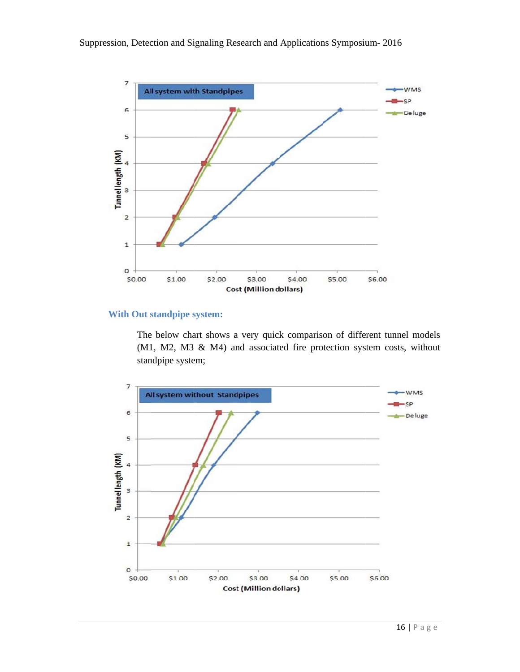Suppression, Detection and Signaling Research and Applications Symposium-2016



### **With Out standpipe system:**

The below chart shows a very quick comparison of different tunnel models (M1, M2, M3 & M4) and associated fire protection system costs, without standpipe system;